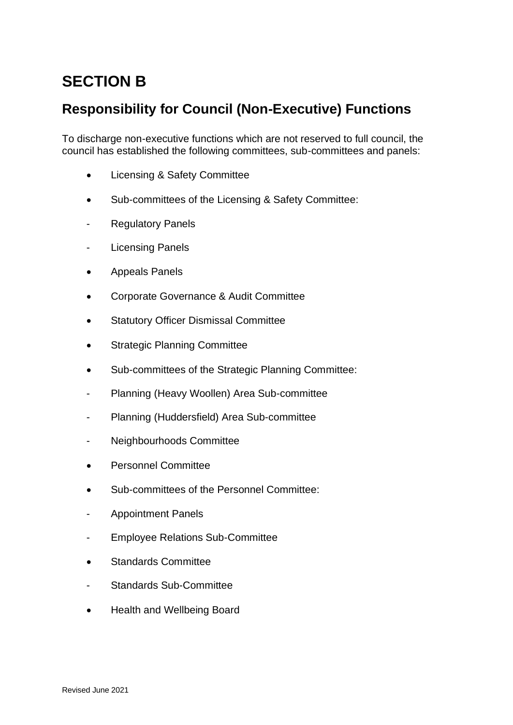# **SECTION B**

## **Responsibility for Council (Non-Executive) Functions**

To discharge non-executive functions which are not reserved to full council, the council has established the following committees, sub-committees and panels:

- Licensing & Safety Committee
- Sub-committees of the Licensing & Safety Committee:
- **Regulatory Panels**
- Licensing Panels
- Appeals Panels
- Corporate Governance & Audit Committee
- **Statutory Officer Dismissal Committee**
- Strategic Planning Committee
- Sub-committees of the Strategic Planning Committee:
- Planning (Heavy Woollen) Area Sub-committee
- Planning (Huddersfield) Area Sub-committee
- Neighbourhoods Committee
- Personnel Committee
- Sub-committees of the Personnel Committee:
- Appointment Panels
- Employee Relations Sub-Committee
- Standards Committee
- Standards Sub-Committee
- Health and Wellbeing Board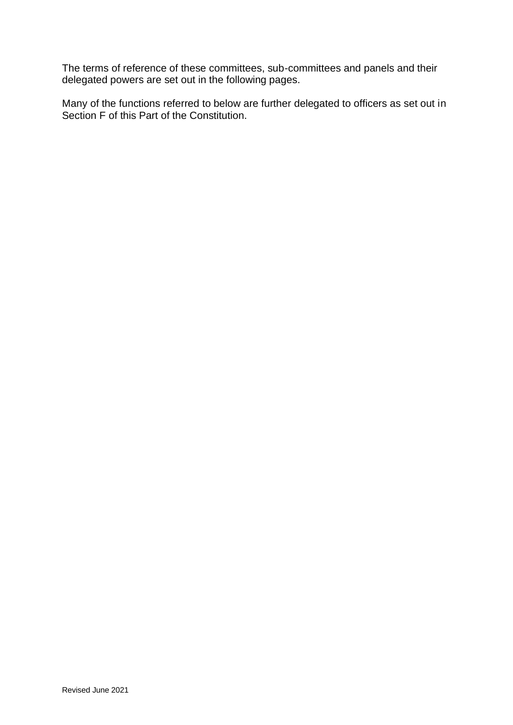The terms of reference of these committees, sub-committees and panels and their delegated powers are set out in the following pages.

Many of the functions referred to below are further delegated to officers as set out in Section F of this Part of the Constitution.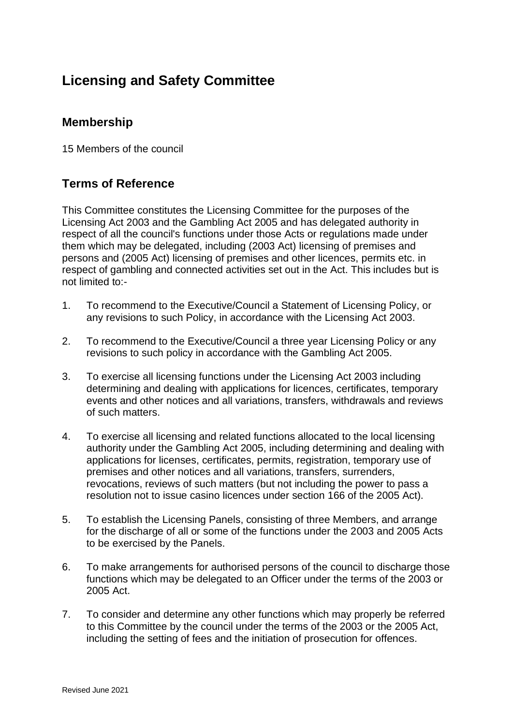## **Licensing and Safety Committee**

### **Membership**

15 Members of the council

### **Terms of Reference**

This Committee constitutes the Licensing Committee for the purposes of the Licensing Act 2003 and the Gambling Act 2005 and has delegated authority in respect of all the council's functions under those Acts or regulations made under them which may be delegated, including (2003 Act) licensing of premises and persons and (2005 Act) licensing of premises and other licences, permits etc. in respect of gambling and connected activities set out in the Act. This includes but is not limited to:-

- 1. To recommend to the Executive/Council a Statement of Licensing Policy, or any revisions to such Policy, in accordance with the Licensing Act 2003.
- 2. To recommend to the Executive/Council a three year Licensing Policy or any revisions to such policy in accordance with the Gambling Act 2005.
- 3. To exercise all licensing functions under the Licensing Act 2003 including determining and dealing with applications for licences, certificates, temporary events and other notices and all variations, transfers, withdrawals and reviews of such matters.
- 4. To exercise all licensing and related functions allocated to the local licensing authority under the Gambling Act 2005, including determining and dealing with applications for licenses, certificates, permits, registration, temporary use of premises and other notices and all variations, transfers, surrenders, revocations, reviews of such matters (but not including the power to pass a resolution not to issue casino licences under section 166 of the 2005 Act).
- 5. To establish the Licensing Panels, consisting of three Members, and arrange for the discharge of all or some of the functions under the 2003 and 2005 Acts to be exercised by the Panels.
- 6. To make arrangements for authorised persons of the council to discharge those functions which may be delegated to an Officer under the terms of the 2003 or 2005 Act.
- 7. To consider and determine any other functions which may properly be referred to this Committee by the council under the terms of the 2003 or the 2005 Act, including the setting of fees and the initiation of prosecution for offences.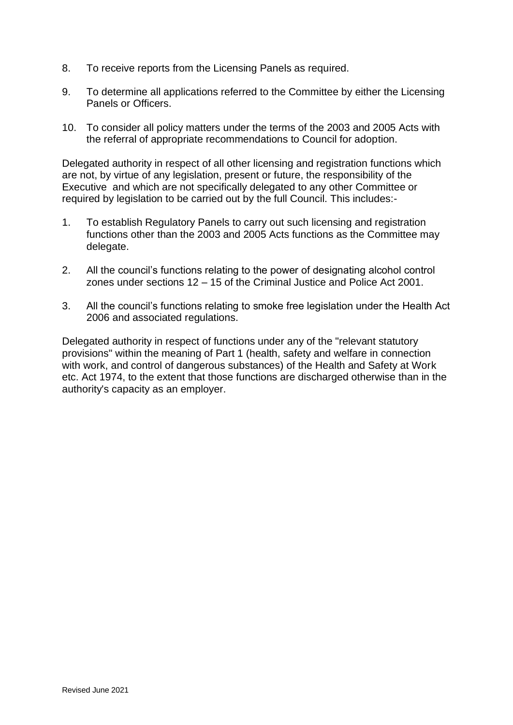- 8. To receive reports from the Licensing Panels as required.
- 9. To determine all applications referred to the Committee by either the Licensing Panels or Officers.
- 10. To consider all policy matters under the terms of the 2003 and 2005 Acts with the referral of appropriate recommendations to Council for adoption.

Delegated authority in respect of all other licensing and registration functions which are not, by virtue of any legislation, present or future, the responsibility of the Executive and which are not specifically delegated to any other Committee or required by legislation to be carried out by the full Council. This includes:-

- 1. To establish Regulatory Panels to carry out such licensing and registration functions other than the 2003 and 2005 Acts functions as the Committee may delegate.
- 2. All the council's functions relating to the power of designating alcohol control zones under sections 12 – 15 of the Criminal Justice and Police Act 2001.
- 3. All the council's functions relating to smoke free legislation under the Health Act 2006 and associated regulations.

Delegated authority in respect of functions under any of the "relevant statutory provisions" within the meaning of Part 1 (health, safety and welfare in connection with work, and control of dangerous substances) of the Health and Safety at Work etc. Act 1974, to the extent that those functions are discharged otherwise than in the authority's capacity as an employer.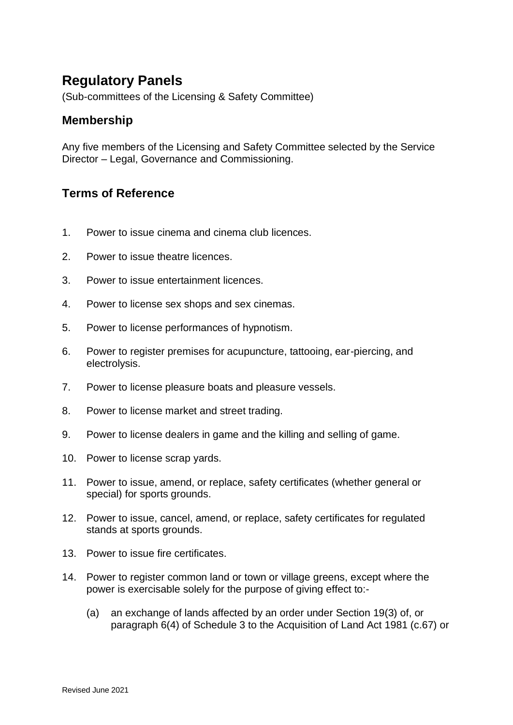## **Regulatory Panels**

(Sub-committees of the Licensing & Safety Committee)

### **Membership**

Any five members of the Licensing and Safety Committee selected by the Service Director – Legal, Governance and Commissioning.

### **Terms of Reference**

- 1. Power to issue cinema and cinema club licences.
- 2. Power to issue theatre licences.
- 3. Power to issue entertainment licences.
- 4. Power to license sex shops and sex cinemas.
- 5. Power to license performances of hypnotism.
- 6. Power to register premises for acupuncture, tattooing, ear-piercing, and electrolysis.
- 7. Power to license pleasure boats and pleasure vessels.
- 8. Power to license market and street trading.
- 9. Power to license dealers in game and the killing and selling of game.
- 10. Power to license scrap yards.
- 11. Power to issue, amend, or replace, safety certificates (whether general or special) for sports grounds.
- 12. Power to issue, cancel, amend, or replace, safety certificates for regulated stands at sports grounds.
- 13. Power to issue fire certificates.
- 14. Power to register common land or town or village greens, except where the power is exercisable solely for the purpose of giving effect to:-
	- (a) an exchange of lands affected by an order under Section 19(3) of, or paragraph 6(4) of Schedule 3 to the Acquisition of Land Act 1981 (c.67) or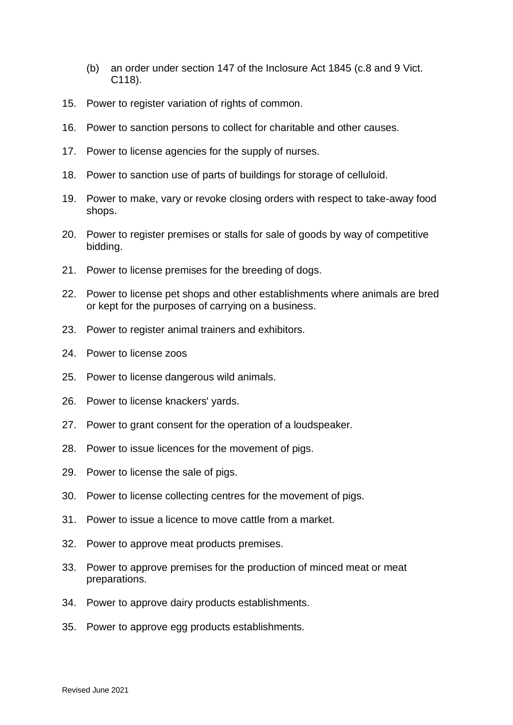- (b) an order under section 147 of the Inclosure Act 1845 (c.8 and 9 Vict. C118).
- 15. Power to register variation of rights of common.
- 16. Power to sanction persons to collect for charitable and other causes.
- 17. Power to license agencies for the supply of nurses.
- 18. Power to sanction use of parts of buildings for storage of celluloid.
- 19. Power to make, vary or revoke closing orders with respect to take-away food shops.
- 20. Power to register premises or stalls for sale of goods by way of competitive bidding.
- 21. Power to license premises for the breeding of dogs.
- 22. Power to license pet shops and other establishments where animals are bred or kept for the purposes of carrying on a business.
- 23. Power to register animal trainers and exhibitors.
- 24. Power to license zoos
- 25. Power to license dangerous wild animals.
- 26. Power to license knackers' yards.
- 27. Power to grant consent for the operation of a loudspeaker.
- 28. Power to issue licences for the movement of pigs.
- 29. Power to license the sale of pigs.
- 30. Power to license collecting centres for the movement of pigs.
- 31. Power to issue a licence to move cattle from a market.
- 32. Power to approve meat products premises.
- 33. Power to approve premises for the production of minced meat or meat preparations.
- 34. Power to approve dairy products establishments.
- 35. Power to approve egg products establishments.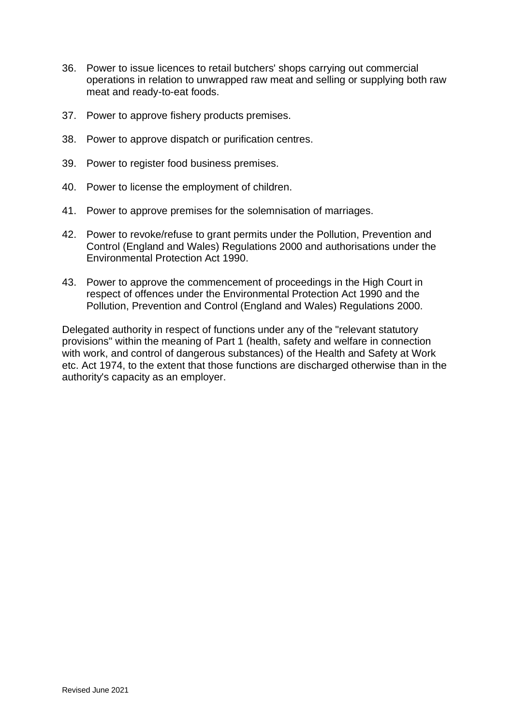- 36. Power to issue licences to retail butchers' shops carrying out commercial operations in relation to unwrapped raw meat and selling or supplying both raw meat and ready-to-eat foods.
- 37. Power to approve fishery products premises.
- 38. Power to approve dispatch or purification centres.
- 39. Power to register food business premises.
- 40. Power to license the employment of children.
- 41. Power to approve premises for the solemnisation of marriages.
- 42. Power to revoke/refuse to grant permits under the Pollution, Prevention and Control (England and Wales) Regulations 2000 and authorisations under the Environmental Protection Act 1990.
- 43. Power to approve the commencement of proceedings in the High Court in respect of offences under the Environmental Protection Act 1990 and the Pollution, Prevention and Control (England and Wales) Regulations 2000.

Delegated authority in respect of functions under any of the "relevant statutory provisions" within the meaning of Part 1 (health, safety and welfare in connection with work, and control of dangerous substances) of the Health and Safety at Work etc. Act 1974, to the extent that those functions are discharged otherwise than in the authority's capacity as an employer.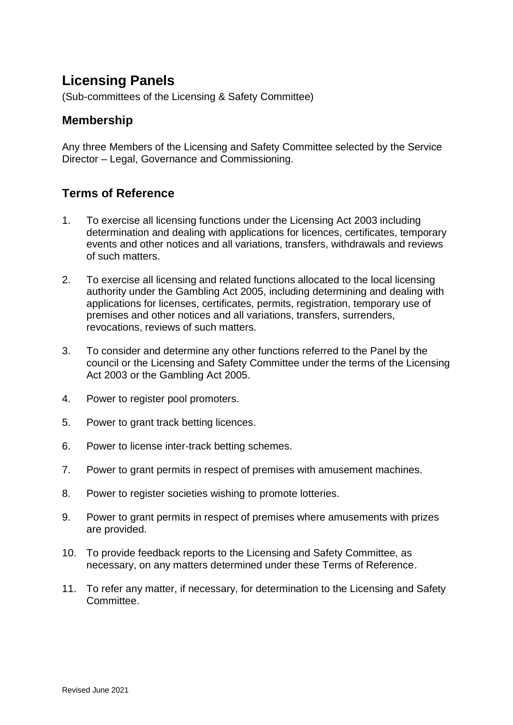## **Licensing Panels**

(Sub-committees of the Licensing & Safety Committee)

### **Membership**

Any three Members of the Licensing and Safety Committee selected by the Service Director – Legal, Governance and Commissioning.

### **Terms of Reference**

- 1. To exercise all licensing functions under the Licensing Act 2003 including determination and dealing with applications for licences, certificates, temporary events and other notices and all variations, transfers, withdrawals and reviews of such matters.
- 2. To exercise all licensing and related functions allocated to the local licensing authority under the Gambling Act 2005, including determining and dealing with applications for licenses, certificates, permits, registration, temporary use of premises and other notices and all variations, transfers, surrenders, revocations, reviews of such matters.
- 3. To consider and determine any other functions referred to the Panel by the council or the Licensing and Safety Committee under the terms of the Licensing Act 2003 or the Gambling Act 2005.
- 4. Power to register pool promoters.
- 5. Power to grant track betting licences.
- 6. Power to license inter-track betting schemes.
- 7. Power to grant permits in respect of premises with amusement machines.
- 8. Power to register societies wishing to promote lotteries.
- 9. Power to grant permits in respect of premises where amusements with prizes are provided.
- 10. To provide feedback reports to the Licensing and Safety Committee, as necessary, on any matters determined under these Terms of Reference.
- 11. To refer any matter, if necessary, for determination to the Licensing and Safety Committee.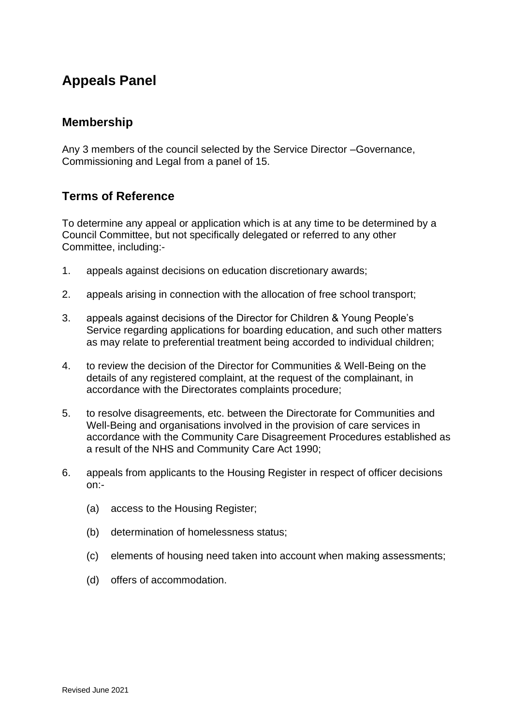### **Appeals Panel**

### **Membership**

Any 3 members of the council selected by the Service Director –Governance, Commissioning and Legal from a panel of 15.

### **Terms of Reference**

To determine any appeal or application which is at any time to be determined by a Council Committee, but not specifically delegated or referred to any other Committee, including:-

- 1. appeals against decisions on education discretionary awards;
- 2. appeals arising in connection with the allocation of free school transport;
- 3. appeals against decisions of the Director for Children & Young People's Service regarding applications for boarding education, and such other matters as may relate to preferential treatment being accorded to individual children;
- 4. to review the decision of the Director for Communities & Well-Being on the details of any registered complaint, at the request of the complainant, in accordance with the Directorates complaints procedure;
- 5. to resolve disagreements, etc. between the Directorate for Communities and Well-Being and organisations involved in the provision of care services in accordance with the Community Care Disagreement Procedures established as a result of the NHS and Community Care Act 1990;
- 6. appeals from applicants to the Housing Register in respect of officer decisions on:-
	- (a) access to the Housing Register;
	- (b) determination of homelessness status;
	- (c) elements of housing need taken into account when making assessments;
	- (d) offers of accommodation.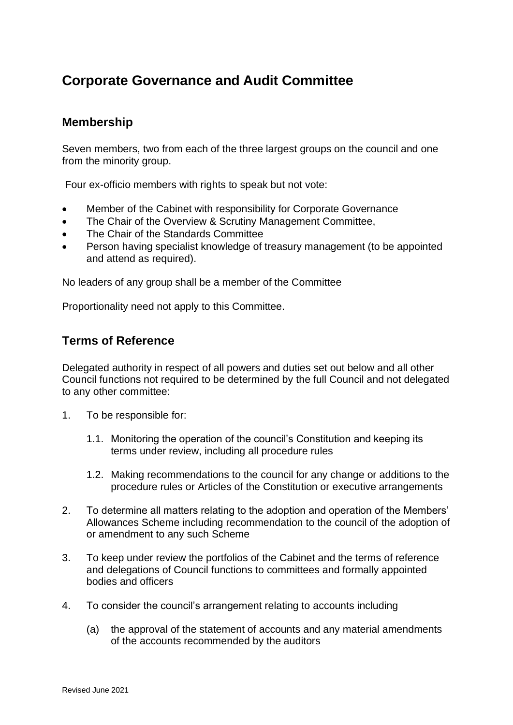## **Corporate Governance and Audit Committee**

### **Membership**

Seven members, two from each of the three largest groups on the council and one from the minority group.

Four ex-officio members with rights to speak but not vote:

- Member of the Cabinet with responsibility for Corporate Governance
- The Chair of the Overview & Scrutiny Management Committee,
- The Chair of the Standards Committee
- Person having specialist knowledge of treasury management (to be appointed and attend as required).

No leaders of any group shall be a member of the Committee

Proportionality need not apply to this Committee.

#### **Terms of Reference**

Delegated authority in respect of all powers and duties set out below and all other Council functions not required to be determined by the full Council and not delegated to any other committee:

- 1. To be responsible for:
	- 1.1. Monitoring the operation of the council's Constitution and keeping its terms under review, including all procedure rules
	- 1.2. Making recommendations to the council for any change or additions to the procedure rules or Articles of the Constitution or executive arrangements
- 2. To determine all matters relating to the adoption and operation of the Members' Allowances Scheme including recommendation to the council of the adoption of or amendment to any such Scheme
- 3. To keep under review the portfolios of the Cabinet and the terms of reference and delegations of Council functions to committees and formally appointed bodies and officers
- 4. To consider the council's arrangement relating to accounts including
	- (a) the approval of the statement of accounts and any material amendments of the accounts recommended by the auditors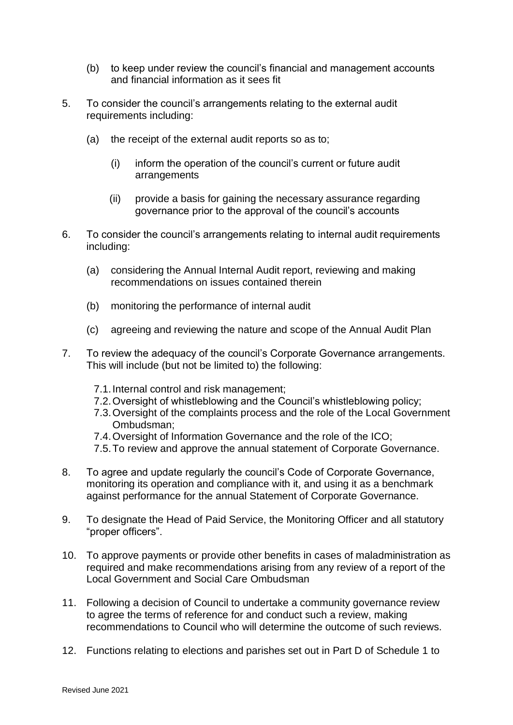- (b) to keep under review the council's financial and management accounts and financial information as it sees fit
- 5. To consider the council's arrangements relating to the external audit requirements including:
	- (a) the receipt of the external audit reports so as to;
		- (i) inform the operation of the council's current or future audit arrangements
		- (ii) provide a basis for gaining the necessary assurance regarding governance prior to the approval of the council's accounts
- 6. To consider the council's arrangements relating to internal audit requirements including:
	- (a) considering the Annual Internal Audit report, reviewing and making recommendations on issues contained therein
	- (b) monitoring the performance of internal audit
	- (c) agreeing and reviewing the nature and scope of the Annual Audit Plan
- 7. To review the adequacy of the council's Corporate Governance arrangements. This will include (but not be limited to) the following:
	- 7.1.Internal control and risk management;
	- 7.2.Oversight of whistleblowing and the Council's whistleblowing policy;
	- 7.3.Oversight of the complaints process and the role of the Local Government Ombudsman;
	- 7.4.Oversight of Information Governance and the role of the ICO;
	- 7.5.To review and approve the annual statement of Corporate Governance.
- 8. To agree and update regularly the council's Code of Corporate Governance, monitoring its operation and compliance with it, and using it as a benchmark against performance for the annual Statement of Corporate Governance.
- 9. To designate the Head of Paid Service, the Monitoring Officer and all statutory "proper officers".
- 10. To approve payments or provide other benefits in cases of maladministration as required and make recommendations arising from any review of a report of the Local Government and Social Care Ombudsman
- 11. Following a decision of Council to undertake a community governance review to agree the terms of reference for and conduct such a review, making recommendations to Council who will determine the outcome of such reviews.
- 12. Functions relating to elections and parishes set out in Part D of Schedule 1 to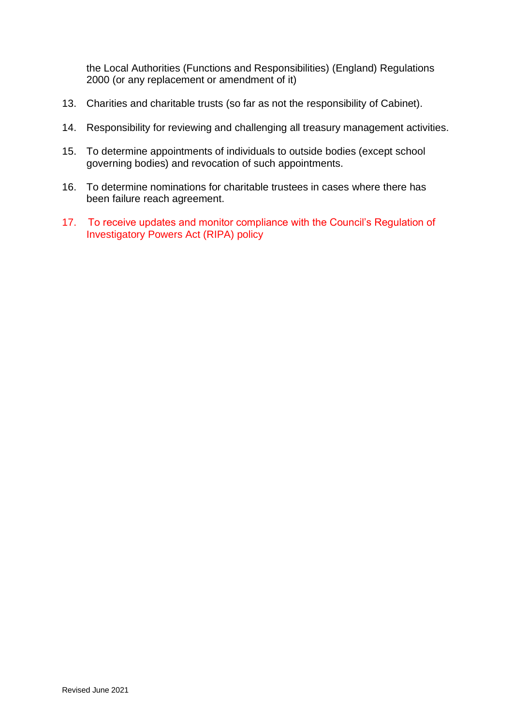the Local Authorities (Functions and Responsibilities) (England) Regulations 2000 (or any replacement or amendment of it)

- 13. Charities and charitable trusts (so far as not the responsibility of Cabinet).
- 14. Responsibility for reviewing and challenging all treasury management activities.
- 15. To determine appointments of individuals to outside bodies (except school governing bodies) and revocation of such appointments.
- 16. To determine nominations for charitable trustees in cases where there has been failure reach agreement.
- 17. To receive updates and monitor compliance with the Council's Regulation of Investigatory Powers Act (RIPA) policy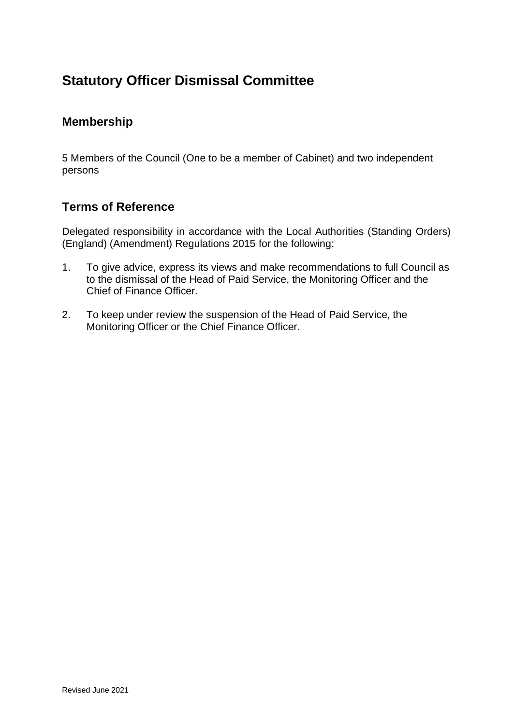## **Statutory Officer Dismissal Committee**

### **Membership**

5 Members of the Council (One to be a member of Cabinet) and two independent persons

### **Terms of Reference**

Delegated responsibility in accordance with the Local Authorities (Standing Orders) (England) (Amendment) Regulations 2015 for the following:

- 1. To give advice, express its views and make recommendations to full Council as to the dismissal of the Head of Paid Service, the Monitoring Officer and the Chief of Finance Officer.
- 2. To keep under review the suspension of the Head of Paid Service, the Monitoring Officer or the Chief Finance Officer.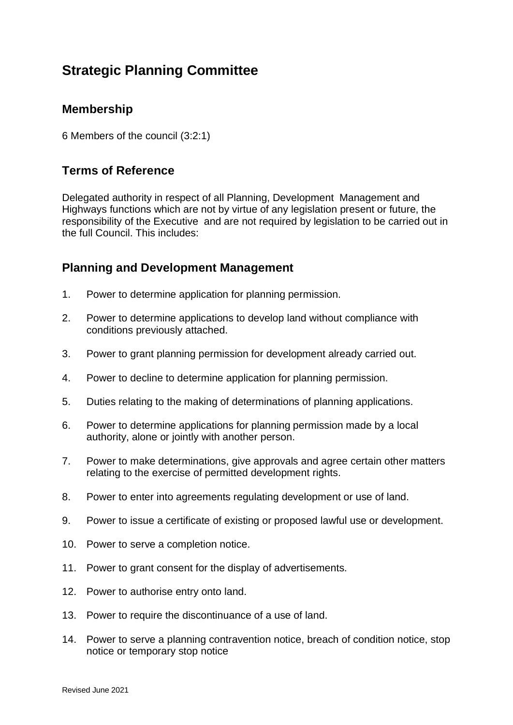## **Strategic Planning Committee**

### **Membership**

6 Members of the council (3:2:1)

### **Terms of Reference**

Delegated authority in respect of all Planning, Development Management and Highways functions which are not by virtue of any legislation present or future, the responsibility of the Executive and are not required by legislation to be carried out in the full Council. This includes:

### **Planning and Development Management**

- 1. Power to determine application for planning permission.
- 2. Power to determine applications to develop land without compliance with conditions previously attached.
- 3. Power to grant planning permission for development already carried out.
- 4. Power to decline to determine application for planning permission.
- 5. Duties relating to the making of determinations of planning applications.
- 6. Power to determine applications for planning permission made by a local authority, alone or jointly with another person.
- 7. Power to make determinations, give approvals and agree certain other matters relating to the exercise of permitted development rights.
- 8. Power to enter into agreements regulating development or use of land.
- 9. Power to issue a certificate of existing or proposed lawful use or development.
- 10. Power to serve a completion notice.
- 11. Power to grant consent for the display of advertisements.
- 12. Power to authorise entry onto land.
- 13. Power to require the discontinuance of a use of land.
- 14. Power to serve a planning contravention notice, breach of condition notice, stop notice or temporary stop notice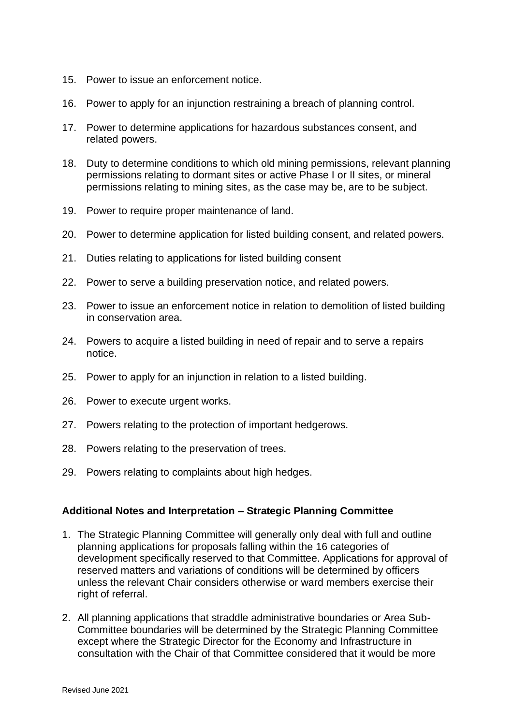- 15. Power to issue an enforcement notice.
- 16. Power to apply for an injunction restraining a breach of planning control.
- 17. Power to determine applications for hazardous substances consent, and related powers.
- 18. Duty to determine conditions to which old mining permissions, relevant planning permissions relating to dormant sites or active Phase I or II sites, or mineral permissions relating to mining sites, as the case may be, are to be subject.
- 19. Power to require proper maintenance of land.
- 20. Power to determine application for listed building consent, and related powers.
- 21. Duties relating to applications for listed building consent
- 22. Power to serve a building preservation notice, and related powers.
- 23. Power to issue an enforcement notice in relation to demolition of listed building in conservation area.
- 24. Powers to acquire a listed building in need of repair and to serve a repairs notice.
- 25. Power to apply for an injunction in relation to a listed building.
- 26. Power to execute urgent works.
- 27. Powers relating to the protection of important hedgerows.
- 28. Powers relating to the preservation of trees.
- 29. Powers relating to complaints about high hedges.

#### **Additional Notes and Interpretation – Strategic Planning Committee**

- 1. The Strategic Planning Committee will generally only deal with full and outline planning applications for proposals falling within the 16 categories of development specifically reserved to that Committee. Applications for approval of reserved matters and variations of conditions will be determined by officers unless the relevant Chair considers otherwise or ward members exercise their right of referral.
- 2. All planning applications that straddle administrative boundaries or Area Sub-Committee boundaries will be determined by the Strategic Planning Committee except where the Strategic Director for the Economy and Infrastructure in consultation with the Chair of that Committee considered that it would be more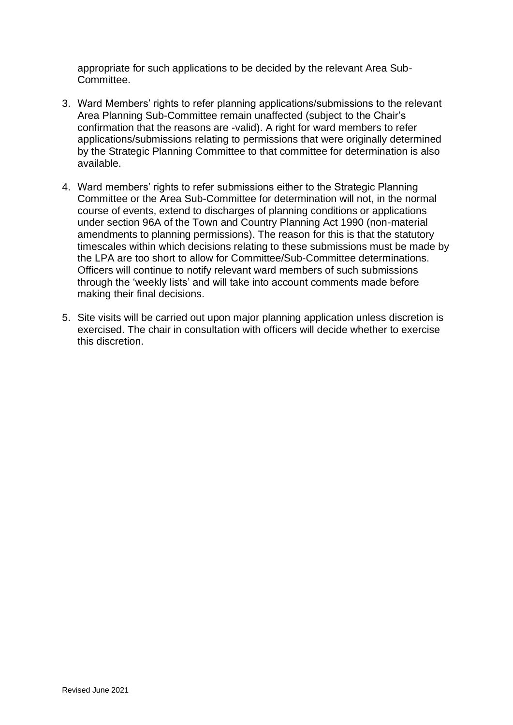appropriate for such applications to be decided by the relevant Area Sub-Committee.

- 3. Ward Members' rights to refer planning applications/submissions to the relevant Area Planning Sub-Committee remain unaffected (subject to the Chair's confirmation that the reasons are -valid). A right for ward members to refer applications/submissions relating to permissions that were originally determined by the Strategic Planning Committee to that committee for determination is also available.
- 4. Ward members' rights to refer submissions either to the Strategic Planning Committee or the Area Sub-Committee for determination will not, in the normal course of events, extend to discharges of planning conditions or applications under section 96A of the Town and Country Planning Act 1990 (non-material amendments to planning permissions). The reason for this is that the statutory timescales within which decisions relating to these submissions must be made by the LPA are too short to allow for Committee/Sub-Committee determinations. Officers will continue to notify relevant ward members of such submissions through the 'weekly lists' and will take into account comments made before making their final decisions.
- 5. Site visits will be carried out upon major planning application unless discretion is exercised. The chair in consultation with officers will decide whether to exercise this discretion.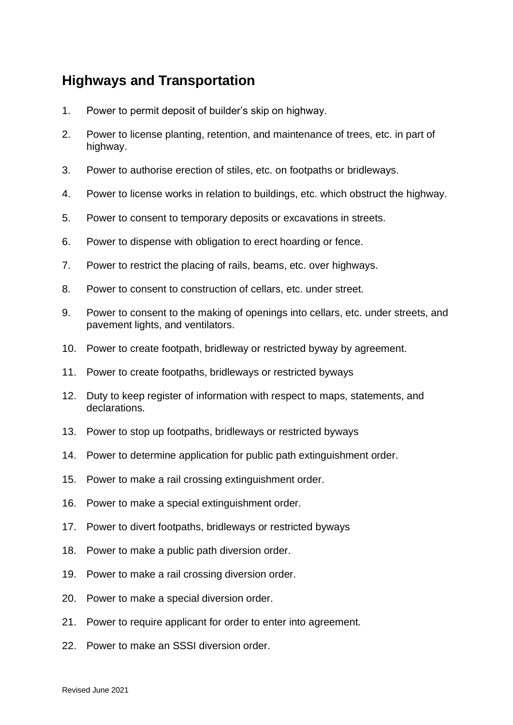### **Highways and Transportation**

- 1. Power to permit deposit of builder's skip on highway.
- 2. Power to license planting, retention, and maintenance of trees, etc. in part of highway.
- 3. Power to authorise erection of stiles, etc. on footpaths or bridleways.
- 4. Power to license works in relation to buildings, etc. which obstruct the highway.
- 5. Power to consent to temporary deposits or excavations in streets.
- 6. Power to dispense with obligation to erect hoarding or fence.
- 7. Power to restrict the placing of rails, beams, etc. over highways.
- 8. Power to consent to construction of cellars, etc. under street.
- 9. Power to consent to the making of openings into cellars, etc. under streets, and pavement lights, and ventilators.
- 10. Power to create footpath, bridleway or restricted byway by agreement.
- 11. Power to create footpaths, bridleways or restricted byways
- 12. Duty to keep register of information with respect to maps, statements, and declarations.
- 13. Power to stop up footpaths, bridleways or restricted byways
- 14. Power to determine application for public path extinguishment order.
- 15. Power to make a rail crossing extinguishment order.
- 16. Power to make a special extinguishment order.
- 17. Power to divert footpaths, bridleways or restricted byways
- 18. Power to make a public path diversion order.
- 19. Power to make a rail crossing diversion order.
- 20. Power to make a special diversion order.
- 21. Power to require applicant for order to enter into agreement.
- 22. Power to make an SSSI diversion order.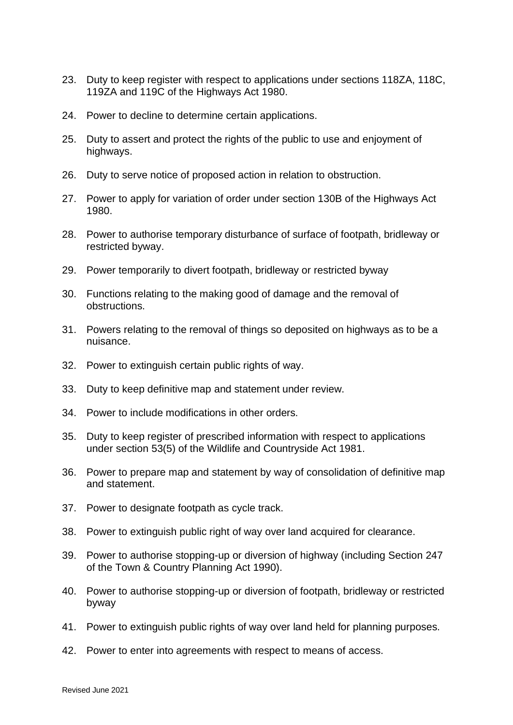- 23. Duty to keep register with respect to applications under sections 118ZA, 118C, 119ZA and 119C of the Highways Act 1980.
- 24. Power to decline to determine certain applications.
- 25. Duty to assert and protect the rights of the public to use and enjoyment of highways.
- 26. Duty to serve notice of proposed action in relation to obstruction.
- 27. Power to apply for variation of order under section 130B of the Highways Act 1980.
- 28. Power to authorise temporary disturbance of surface of footpath, bridleway or restricted byway.
- 29. Power temporarily to divert footpath, bridleway or restricted byway
- 30. Functions relating to the making good of damage and the removal of obstructions.
- 31. Powers relating to the removal of things so deposited on highways as to be a nuisance.
- 32. Power to extinguish certain public rights of way.
- 33. Duty to keep definitive map and statement under review.
- 34. Power to include modifications in other orders.
- 35. Duty to keep register of prescribed information with respect to applications under section 53(5) of the Wildlife and Countryside Act 1981.
- 36. Power to prepare map and statement by way of consolidation of definitive map and statement.
- 37. Power to designate footpath as cycle track.
- 38. Power to extinguish public right of way over land acquired for clearance.
- 39. Power to authorise stopping-up or diversion of highway (including Section 247 of the Town & Country Planning Act 1990).
- 40. Power to authorise stopping-up or diversion of footpath, bridleway or restricted byway
- 41. Power to extinguish public rights of way over land held for planning purposes.
- 42. Power to enter into agreements with respect to means of access.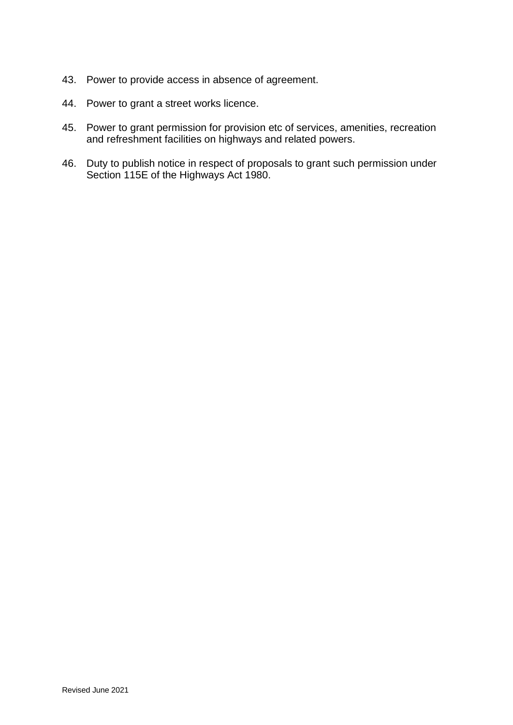- 43. Power to provide access in absence of agreement.
- 44. Power to grant a street works licence.
- 45. Power to grant permission for provision etc of services, amenities, recreation and refreshment facilities on highways and related powers.
- 46. Duty to publish notice in respect of proposals to grant such permission under Section 115E of the Highways Act 1980.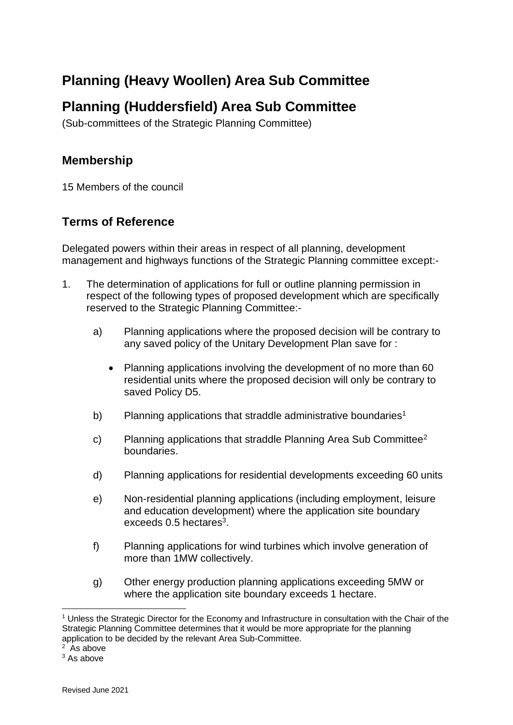## **Planning (Heavy Woollen) Area Sub Committee**

## **Planning (Huddersfield) Area Sub Committee**

(Sub-committees of the Strategic Planning Committee)

### **Membership**

15 Members of the council

### **Terms of Reference**

Delegated powers within their areas in respect of all planning, development management and highways functions of the Strategic Planning committee except:-

- 1. The determination of applications for full or outline planning permission in respect of the following types of proposed development which are specifically reserved to the Strategic Planning Committee:
	- a) Planning applications where the proposed decision will be contrary to any saved policy of the Unitary Development Plan save for :
		- Planning applications involving the development of no more than 60 residential units where the proposed decision will only be contrary to saved Policy D5.
	- b) Planning applications that straddle administrative boundaries<sup>1</sup>
	- c) Planning applications that straddle Planning Area Sub Committee<sup>2</sup> boundaries.
	- d) Planning applications for residential developments exceeding 60 units
	- e) Non-residential planning applications (including employment, leisure and education development) where the application site boundary exceeds  $0.5$  hectares<sup>3</sup>.
	- f) Planning applications for wind turbines which involve generation of more than 1MW collectively.
	- g) Other energy production planning applications exceeding 5MW or where the application site boundary exceeds 1 hectare.

<sup>1</sup> Unless the Strategic Director for the Economy and Infrastructure in consultation with the Chair of the Strategic Planning Committee determines that it would be more appropriate for the planning application to be decided by the relevant Area Sub-Committee.

<sup>&</sup>lt;sup>2</sup> As above

 $3$  As above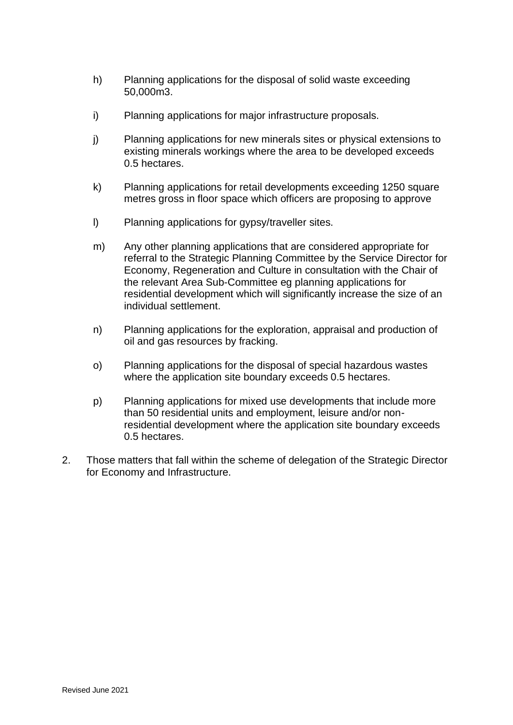- h) Planning applications for the disposal of solid waste exceeding 50,000m3.
- i) Planning applications for major infrastructure proposals.
- j) Planning applications for new minerals sites or physical extensions to existing minerals workings where the area to be developed exceeds 0.5 hectares.
- k) Planning applications for retail developments exceeding 1250 square metres gross in floor space which officers are proposing to approve
- l) Planning applications for gypsy/traveller sites.
- m) Any other planning applications that are considered appropriate for referral to the Strategic Planning Committee by the Service Director for Economy, Regeneration and Culture in consultation with the Chair of the relevant Area Sub-Committee eg planning applications for residential development which will significantly increase the size of an individual settlement.
- n) Planning applications for the exploration, appraisal and production of oil and gas resources by fracking.
- o) Planning applications for the disposal of special hazardous wastes where the application site boundary exceeds 0.5 hectares.
- p) Planning applications for mixed use developments that include more than 50 residential units and employment, leisure and/or nonresidential development where the application site boundary exceeds 0.5 hectares.
- 2. Those matters that fall within the scheme of delegation of the Strategic Director for Economy and Infrastructure.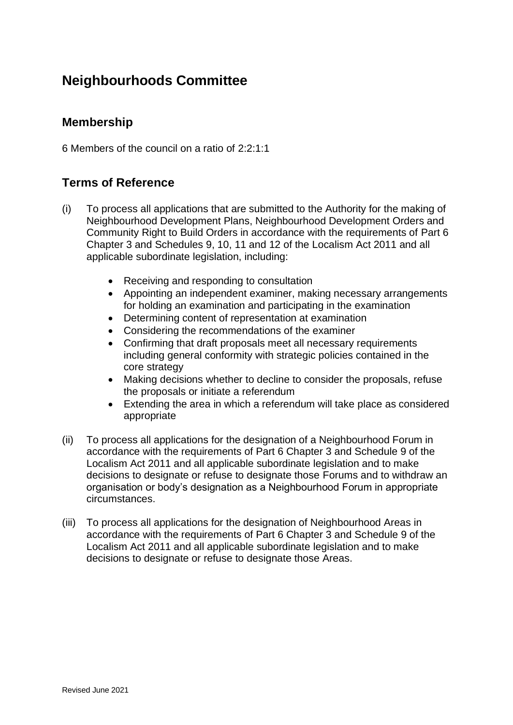## **Neighbourhoods Committee**

### **Membership**

6 Members of the council on a ratio of 2:2:1:1

### **Terms of Reference**

- (i) To process all applications that are submitted to the Authority for the making of Neighbourhood Development Plans, Neighbourhood Development Orders and Community Right to Build Orders in accordance with the requirements of Part 6 Chapter 3 and Schedules 9, 10, 11 and 12 of the Localism Act 2011 and all applicable subordinate legislation, including:
	- Receiving and responding to consultation
	- Appointing an independent examiner, making necessary arrangements for holding an examination and participating in the examination
	- Determining content of representation at examination
	- Considering the recommendations of the examiner
	- Confirming that draft proposals meet all necessary requirements including general conformity with strategic policies contained in the core strategy
	- Making decisions whether to decline to consider the proposals, refuse the proposals or initiate a referendum
	- Extending the area in which a referendum will take place as considered appropriate
- (ii) To process all applications for the designation of a Neighbourhood Forum in accordance with the requirements of Part 6 Chapter 3 and Schedule 9 of the Localism Act 2011 and all applicable subordinate legislation and to make decisions to designate or refuse to designate those Forums and to withdraw an organisation or body's designation as a Neighbourhood Forum in appropriate circumstances.
- (iii) To process all applications for the designation of Neighbourhood Areas in accordance with the requirements of Part 6 Chapter 3 and Schedule 9 of the Localism Act 2011 and all applicable subordinate legislation and to make decisions to designate or refuse to designate those Areas.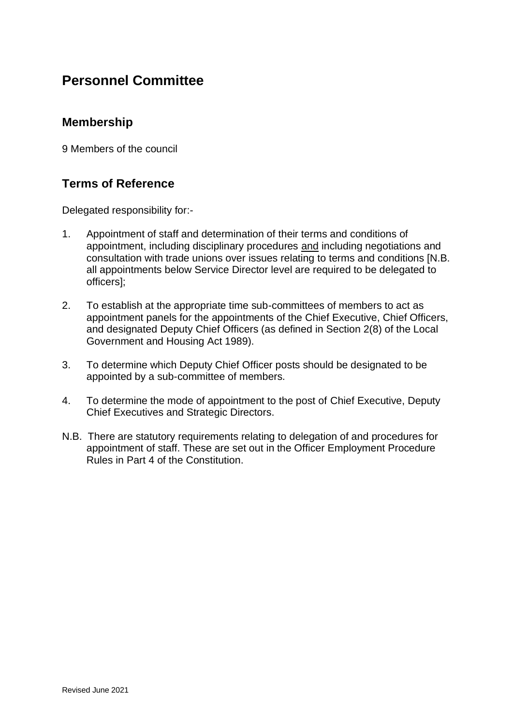### **Personnel Committee**

### **Membership**

9 Members of the council

### **Terms of Reference**

Delegated responsibility for:-

- 1. Appointment of staff and determination of their terms and conditions of appointment, including disciplinary procedures and including negotiations and consultation with trade unions over issues relating to terms and conditions [N.B. all appointments below Service Director level are required to be delegated to officers];
- 2. To establish at the appropriate time sub-committees of members to act as appointment panels for the appointments of the Chief Executive, Chief Officers, and designated Deputy Chief Officers (as defined in Section 2(8) of the Local Government and Housing Act 1989).
- 3. To determine which Deputy Chief Officer posts should be designated to be appointed by a sub-committee of members.
- 4. To determine the mode of appointment to the post of Chief Executive, Deputy Chief Executives and Strategic Directors.
- N.B. There are statutory requirements relating to delegation of and procedures for appointment of staff. These are set out in the Officer Employment Procedure Rules in Part 4 of the Constitution.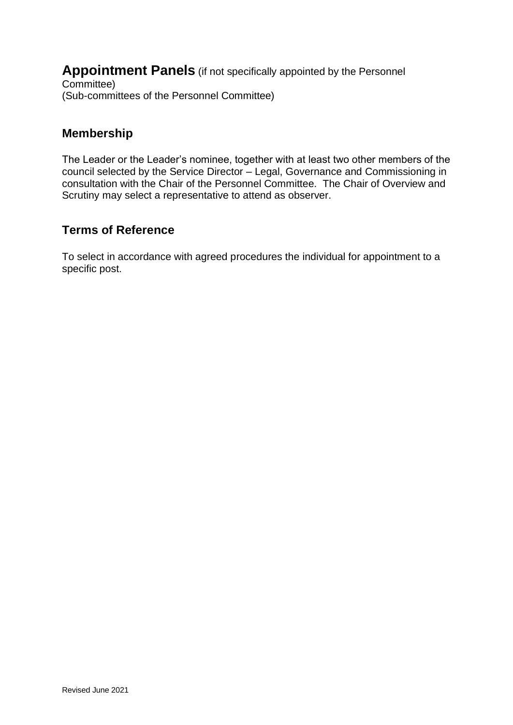**Appointment Panels** (if not specifically appointed by the Personnel Committee) (Sub-committees of the Personnel Committee)

### **Membership**

The Leader or the Leader's nominee, together with at least two other members of the council selected by the Service Director – Legal, Governance and Commissioning in consultation with the Chair of the Personnel Committee. The Chair of Overview and Scrutiny may select a representative to attend as observer.

### **Terms of Reference**

To select in accordance with agreed procedures the individual for appointment to a specific post.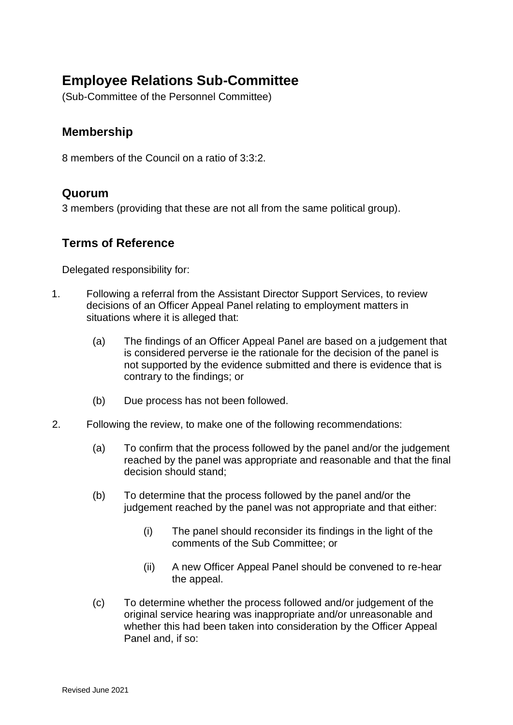## **Employee Relations Sub-Committee**

(Sub-Committee of the Personnel Committee)

### **Membership**

8 members of the Council on a ratio of 3:3:2.

### **Quorum**

3 members (providing that these are not all from the same political group).

### **Terms of Reference**

Delegated responsibility for:

- 1. Following a referral from the Assistant Director Support Services, to review decisions of an Officer Appeal Panel relating to employment matters in situations where it is alleged that:
	- (a) The findings of an Officer Appeal Panel are based on a judgement that is considered perverse ie the rationale for the decision of the panel is not supported by the evidence submitted and there is evidence that is contrary to the findings; or
	- (b) Due process has not been followed.
- 2. Following the review, to make one of the following recommendations:
	- (a) To confirm that the process followed by the panel and/or the judgement reached by the panel was appropriate and reasonable and that the final decision should stand;
	- (b) To determine that the process followed by the panel and/or the judgement reached by the panel was not appropriate and that either:
		- (i) The panel should reconsider its findings in the light of the comments of the Sub Committee; or
		- (ii) A new Officer Appeal Panel should be convened to re-hear the appeal.
	- (c) To determine whether the process followed and/or judgement of the original service hearing was inappropriate and/or unreasonable and whether this had been taken into consideration by the Officer Appeal Panel and, if so: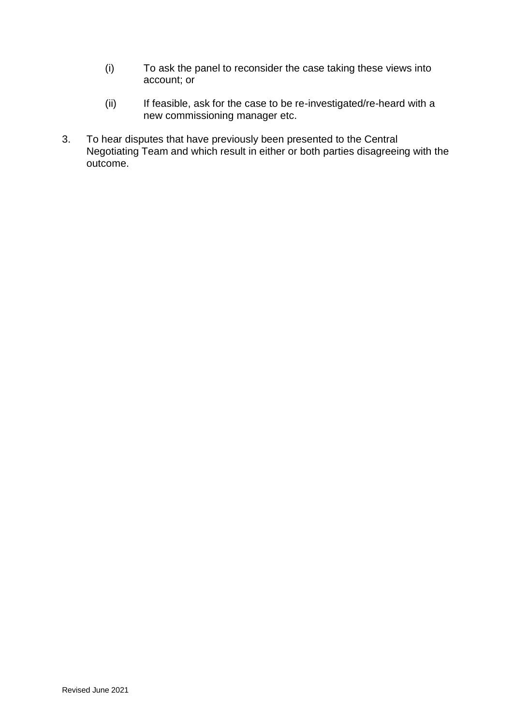- (i) To ask the panel to reconsider the case taking these views into account; or
- (ii) If feasible, ask for the case to be re-investigated/re-heard with a new commissioning manager etc.
- 3. To hear disputes that have previously been presented to the Central Negotiating Team and which result in either or both parties disagreeing with the outcome.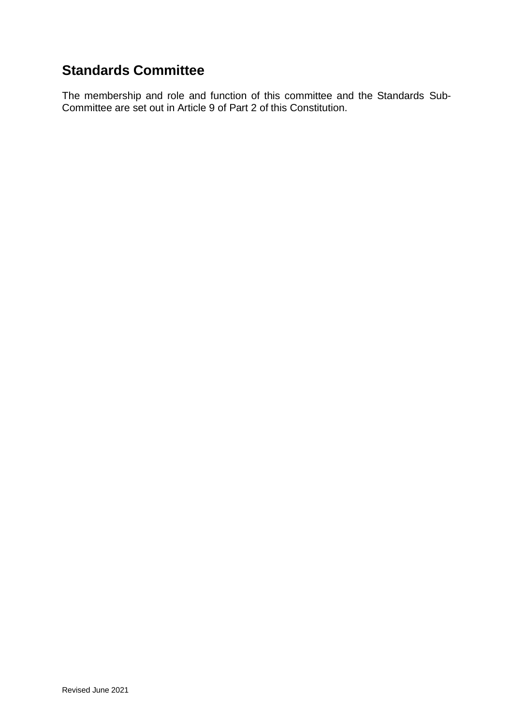## **Standards Committee**

The membership and role and function of this committee and the Standards Sub-Committee are set out in Article 9 of Part 2 of this Constitution.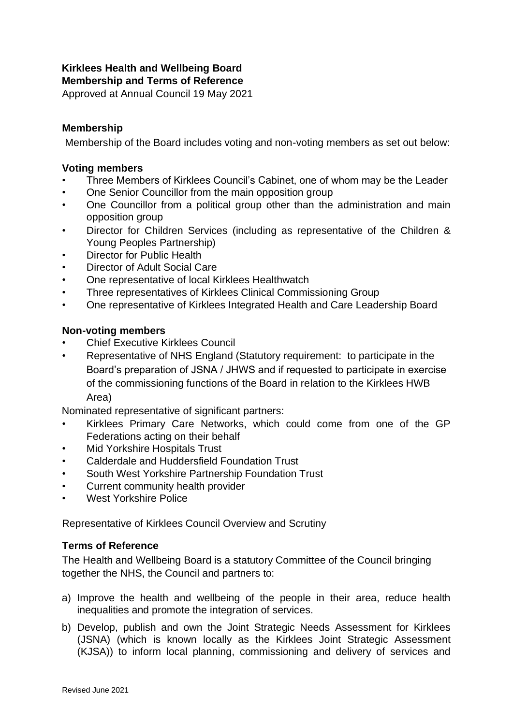### **Kirklees Health and Wellbeing Board**

**Membership and Terms of Reference**

Approved at Annual Council 19 May 2021

#### **Membership**

Membership of the Board includes voting and non-voting members as set out below:

#### **Voting members**

- Three Members of Kirklees Council's Cabinet, one of whom may be the Leader
- One Senior Councillor from the main opposition group
- One Councillor from a political group other than the administration and main opposition group
- Director for Children Services (including as representative of the Children & Young Peoples Partnership)
- Director for Public Health
- Director of Adult Social Care
- One representative of local Kirklees Healthwatch
- Three representatives of Kirklees Clinical Commissioning Group
- One representative of Kirklees Integrated Health and Care Leadership Board

#### **Non-voting members**

- Chief Executive Kirklees Council
- Representative of NHS England (Statutory requirement: to participate in the Board's preparation of JSNA / JHWS and if requested to participate in exercise of the commissioning functions of the Board in relation to the Kirklees HWB Area)

Nominated representative of significant partners:

- Kirklees Primary Care Networks, which could come from one of the GP Federations acting on their behalf
- Mid Yorkshire Hospitals Trust
- Calderdale and Huddersfield Foundation Trust
- South West Yorkshire Partnership Foundation Trust
- Current community health provider
- West Yorkshire Police

Representative of Kirklees Council Overview and Scrutiny

#### **Terms of Reference**

The Health and Wellbeing Board is a statutory Committee of the Council bringing together the NHS, the Council and partners to:

- a) Improve the health and wellbeing of the people in their area, reduce health inequalities and promote the integration of services.
- b) Develop, publish and own the Joint Strategic Needs Assessment for Kirklees (JSNA) (which is known locally as the Kirklees Joint Strategic Assessment (KJSA)) to inform local planning, commissioning and delivery of services and